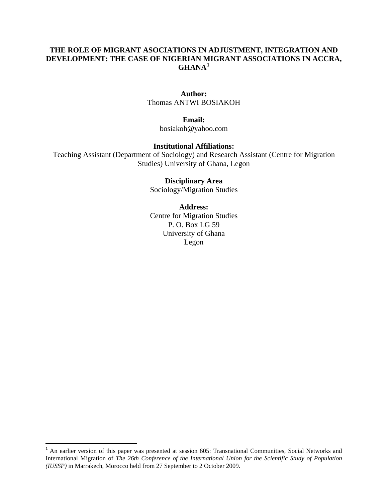## **THE ROLE OF MIGRANT ASOCIATIONS IN ADJUSTMENT, INTEGRATION AND DEVELOPMENT: THE CASE OF NIGERIAN MIGRANT ASSOCIATIONS IN ACCRA, GHANA[1](#page-0-0)**

## **Author:**

Thomas ANTWI BOSIAKOH

#### **Email:**

bosiakoh@yahoo.com

#### **Institutional Affiliations:**

Teaching Assistant (Department of Sociology) and Research Assistant (Centre for Migration Studies) University of Ghana, Legon

#### **Disciplinary Area**

Sociology/Migration Studies

#### **Address:**

Centre for Migration Studies P. O. Box LG 59 University of Ghana Legon

<span id="page-0-0"></span> $1$  An earlier version of this paper was presented at session 605: Transnational Communities, Social Networks and International Migration of *The 26th Conference of the International Union for the Scientific Study of Population (IUSSP)* in Marrakech, Morocco held from 27 September to 2 October 2009.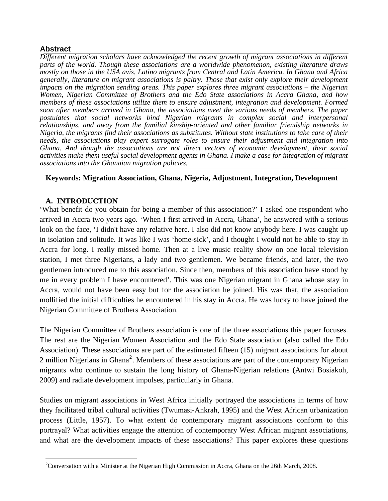## **Abstract**

*Different migration scholars have acknowledged the recent growth of migrant associations in different parts of the world. Though these associations are a worldwide phenomenon, existing literature draws mostly on those in the USA avis, Latino migrants from Central and Latin America. In Ghana and Africa generally, literature on migrant associations is paltry. Those that exist only explore their development impacts on the migration sending areas. This paper explores three migrant associations – the Nigerian Women, Nigerian Committee of Brothers and the Edo State associations in Accra Ghana, and how members of these associations utilize them to ensure adjustment, integration and development. Formed soon after members arrived in Ghana, the associations meet the various needs of members. The paper postulates that social networks bind Nigerian migrants in complex social and interpersonal relationships, and away from the familial kinship-oriented and other familiar friendship networks in Nigeria, the migrants find their associations as substitutes. Without state institutions to take care of their needs, the associations play expert surrogate roles to ensure their adjustment and integration into Ghana. And though the associations are not direct vectors of economic development, their social activities make them useful social development agents in Ghana. I make a case for integration of migrant associations into the Ghanaian migration policies.* 

## **Keywords: Migration Association, Ghana, Nigeria, Adjustment, Integration, Development**

## **A. INTRODUCTION**

'What benefit do you obtain for being a member of this association?' I asked one respondent who arrived in Accra two years ago. 'When I first arrived in Accra, Ghana', he answered with a serious look on the face, 'I didn't have any relative here. I also did not know anybody here. I was caught up in isolation and solitude. It was like I was 'home-sick', and I thought I would not be able to stay in Accra for long. I really missed home. Then at a live music reality show on one local television station, I met three Nigerians, a lady and two gentlemen. We became friends, and later, the two gentlemen introduced me to this association. Since then, members of this association have stood by me in every problem I have encountered'. This was one Nigerian migrant in Ghana whose stay in Accra, would not have been easy but for the association he joined. His was that, the association mollified the initial difficulties he encountered in his stay in Accra. He was lucky to have joined the Nigerian Committee of Brothers Association.

The Nigerian Committee of Brothers association is one of the three associations this paper focuses. The rest are the Nigerian Women Association and the Edo State association (also called the Edo Association). These associations are part of the estimated fifteen (15) migrant associations for about [2](#page-1-0) million Nigerians in Ghana<sup>2</sup>. Members of these associations are part of the contemporary Nigerian migrants who continue to sustain the long history of Ghana-Nigerian relations (Antwi Bosiakoh, 2009) and radiate development impulses, particularly in Ghana.

Studies on migrant associations in West Africa initially portrayed the associations in terms of how they facilitated tribal cultural activities (Twumasi-Ankrah, 1995) and the West African urbanization process (Little, 1957). To what extent do contemporary migrant associations conform to this portrayal? What activities engage the attention of contemporary West African migrant associations, and what are the development impacts of these associations? This paper explores these questions

<span id="page-1-0"></span><sup>&</sup>lt;sup>2</sup>Conversation with a Minister at the Nigerian High Commission in Accra, Ghana on the 26th March, 2008.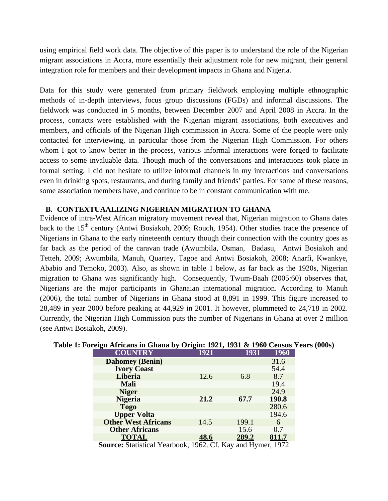using empirical field work data. The objective of this paper is to understand the role of the Nigerian migrant associations in Accra, more essentially their adjustment role for new migrant, their general integration role for members and their development impacts in Ghana and Nigeria.

Data for this study were generated from primary fieldwork employing multiple ethnographic methods of in-depth interviews, focus group discussions (FGDs) and informal discussions. The fieldwork was conducted in 5 months, between December 2007 and April 2008 in Accra. In the process, contacts were established with the Nigerian migrant associations, both executives and members, and officials of the Nigerian High commission in Accra. Some of the people were only contacted for interviewing, in particular those from the Nigerian High Commission. For others whom I got to know better in the process, various informal interactions were forged to facilitate access to some invaluable data. Though much of the conversations and interactions took place in formal setting, I did not hesitate to utilize informal channels in my interactions and conversations even in drinking spots, restaurants, and during family and friends' parties. For some of these reasons, some association members have, and continue to be in constant communication with me.

## **B. CONTEXTUAALIZING NIGERIAN MIGRATION TO GHANA**

Evidence of intra-West African migratory movement reveal that, Nigerian migration to Ghana dates back to the 15<sup>th</sup> century (Antwi Bosiakoh, 2009; Rouch, 1954). Other studies trace the presence of Nigerians in Ghana to the early nineteenth century though their connection with the country goes as far back as the period of the caravan trade (Awumbila, Osman, Badasu, Antwi Bosiakoh and Tetteh, 2009; Awumbila, Manuh, Quartey, Tagoe and Antwi Bosiakoh, 2008; Anarfi, Kwankye, Ababio and Temoko, 2003). Also, as shown in table 1 below, as far back as the 1920s, Nigerian migration to Ghana was significantly high. Consequently, Twum-Baah (2005:60) observes that, Nigerians are the major participants in Ghanaian international migration. According to Manuh (2006), the total number of Nigerians in Ghana stood at 8,891 in 1999. This figure increased to 28,489 in year 2000 before peaking at 44,929 in 2001. It however, plummeted to 24,718 in 2002. Currently, the Nigerian High Commission puts the number of Nigerians in Ghana at over 2 million (see Antwi Bosiakoh, 2009).

| <b>COUNTRY</b>                                                 | 1921 | 1931  | 1960  |
|----------------------------------------------------------------|------|-------|-------|
| <b>Dahomey</b> (Benin)                                         |      |       | 31.6  |
| <b>Ivory Coast</b>                                             |      |       | 54.4  |
| Liberia                                                        | 12.6 | 6.8   | 8.7   |
| Mali                                                           |      |       | 19.4  |
| <b>Niger</b>                                                   |      |       | 24.9  |
| <b>Nigeria</b>                                                 | 21.2 | 67.7  | 190.8 |
| <b>Togo</b>                                                    |      |       | 280.6 |
| <b>Upper Volta</b>                                             |      |       | 194.6 |
| <b>Other West Africans</b>                                     | 14.5 | 199.1 | 6     |
| <b>Other Africans</b>                                          |      | 15.6  | 0.7   |
| <b>TOTAL</b>                                                   | 48.6 | 289.2 | 811.7 |
| <b>Course:</b> Statistical Veerbook 1062 Cf Key and Hymer 1072 |      |       |       |

### **Table 1: Foreign Africans in Ghana by Origin: 1921, 1931 & 1960 Census Years (000s)**

**Source:** Statistical Yearbook, 1962. Cf. Kay and Hymer, 1972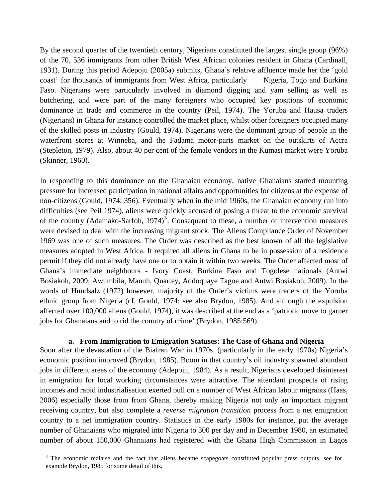By the second quarter of the twentieth century, Nigerians constituted the largest single group (96%) of the 70, 536 immigrants from other British West African colonies resident in Ghana (Cardinall, 1931). During this period Adepoju (2005a) submits, Ghana's relative affluence made her the 'gold coast' for thousands of immigrants from West Africa, particularly Nigeria, Togo and Burkina Faso. Nigerians were particularly involved in diamond digging and yam selling as well as butchering, and were part of the many foreigners who occupied key positions of economic dominance in trade and commerce in the country (Peil, 1974). The Yoruba and Hausa traders (Nigerians) in Ghana for instance controlled the market place, whilst other foreigners occupied many of the skilled posts in industry (Gould, 1974). Nigerians were the dominant group of people in the waterfront stores at Winneba, and the Fadama motor-parts market on the outskirts of Accra (Stepleton, 1979). Also, about 40 per cent of the female vendors in the Kumasi market were Yoruba (Skinner, 1960).

In responding to this dominance on the Ghanaian economy, native Ghanaians started mounting pressure for increased participation in national affairs and opportunities for citizens at the expense of non-citizens (Gould, 1974: 356). Eventually when in the mid 1960s, the Ghanaian economy run into difficulties (see Peil 1974), aliens were quickly accused of posing a threat to the economic survival of the country (Adamako-Sarfoh, 1974)<sup>[3](#page-3-0)</sup>. Consequent to these, a number of intervention measures were devised to deal with the increasing migrant stock. The Aliens Compliance Order of November 1969 was one of such measures. The Order was described as the best known of all the legislative measures adopted in West Africa. It required all aliens in Ghana to be in possession of a residence permit if they did not already have one or to obtain it within two weeks. The Order affected most of Ghana's immediate neighbours - Ivory Coast, Burkina Faso and Togolese nationals (Antwi Bosiakoh, 2009; Awumbila, Manuh, Quartey, Addoquaye Tagoe and Antwi Bosiakoh, 2009). In the words of Hundsalz (1972) however, majority of the Order's victims were traders of the Yoruba ethnic group from Nigeria (cf. Gould, 1974; see also Brydon, 1985). And although the expulsion affected over 100,000 aliens (Gould, 1974), it was described at the end as a 'patriotic move to garner jobs for Ghanaians and to rid the country of crime' (Brydon, 1985:569).

### **a. From Immigration to Emigration Statuses: The Case of Ghana and Nigeria**

Soon after the devastation of the Biafran War in 1970s, (particularly in the early 1970s) Nigeria's economic position improved (Brydon, 1985). Boom in that country's oil industry spawned abundant jobs in different areas of the economy (Adepoju, 1984). As a result, Nigerians developed disinterest in emigration for local working circumstances were attractive. The attendant prospects of rising incomes and rapid industrialisation exerted pull on a number of West African labour migrants (Haas, 2006) especially those from from Ghana, thereby making Nigeria not only an important migrant receiving country, but also complete a *reverse migration transition* process from a net emigration country to a net immigration country. Statistics in the early 1980s for instance, put the average number of Ghanaians who migrated into Nigeria to 300 per day and in December 1980, an estimated number of about 150,000 Ghanaians had registered with the Ghana High Commission in Lagos

<span id="page-3-0"></span><sup>&</sup>lt;sup>3</sup> The economic malaise and the fact that aliens became scapegoats constituted popular press outputs, see for example Brydon, 1985 for some detail of this.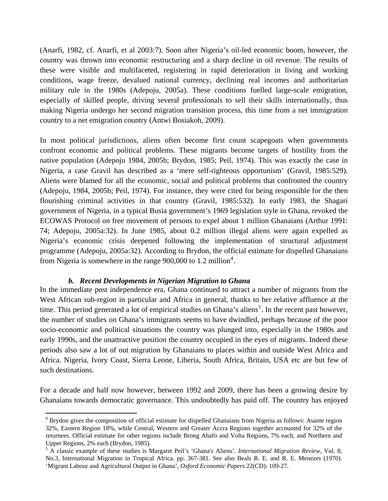(Anarfi, 1982, cf. Anarfi, et al 2003:7). Soon after Nigeria's oil-led economic boom, however, the country was thrown into economic restructuring and a sharp decline in oil revenue. The results of these were visible and multifaceted, registering in rapid deterioration in living and working conditions, wage freeze, devalued national currency, declining real incomes and authoritarian military rule in the 1980s (Adepoju, 2005a). These conditions fuelled large-scale emigration, especially of skilled people, driving several professionals to sell their skills internationally, thus making Nigeria undergo her second migration transition process, this time from a net immigration country to a net emigration country (Antwi Bosiakoh, 2009).

In most political jurisdictions, aliens often become first count scapegoats when governments confront economic and political problems. These migrants become targets of hostility from the native population (Adepoju 1984, 2005b; Brydon, 1985; Peil, 1974). This was exactly the case in Nigeria, a case Gravil has described as a 'mere self-righteous opportunism' (Gravil, 1985:529). Aliens were blamed for all the economic, social and political problems that confronted the country (Adepoju, 1984, 2005b; Peil, 1974). For instance, they were cited for being responsible for the then flourishing criminal activities in that country (Gravil, 1985:532). In early 1983, the Shagari government of Nigeria, in a typical Busia government's 1969 legislation style in Ghana, revoked the ECOWAS Protocol on free movement of persons to expel about 1 million Ghanaians (Arthur 1991: 74; Adepoju, 2005a:32). In June 1985, about 0.2 million illegal aliens were again expelled as Nigeria's economic crisis deepened following the implementation of structural adjustment programme (Adepoju, 2005a:32). According to Brydon, the official estimate for dispelled Ghanaians from Nigeria is somewhere in the range  $900,000$  to 1.2 million<sup>[4](#page-4-0)</sup>.

### *b. Recent Developments in Nigerian Migration to Ghana*

In the immediate post independence era, Ghana continued to attract a number of migrants from the West African sub-region in particular and Africa in general, thanks to her relative affluence at the time. This period generated a lot of empirical studies on Ghana's aliens<sup>[5](#page-4-1)</sup>. In the recent past however, the number of studies on Ghana's immigrants seems to have dwindled, perhaps because of the poor socio-economic and political situations the country was plunged into, especially in the 1980s and early 1990s, and the unattractive position the country occupied in the eyes of migrants. Indeed these periods also saw a lot of out migration by Ghanaians to places within and outside West Africa and Africa. Nigeria, Ivory Coast, Sierra Leone, Liberia, South Africa, Britain, USA etc are but few of such destinations.

For a decade and half now however, between 1992 and 2009, there has been a growing desire by Ghanaians towards democratic governance. This undoubtedly has paid off. The country has enjoyed

<span id="page-4-0"></span><sup>&</sup>lt;sup>4</sup> Brydon gives the composition of official estimate for dispelled Ghanaians from Nigeria as follows: Asante region 32%, Eastern Region 18%, while Central, Western and Greater Accra Regions together accounted for 32% of the returnees. Official estimate for other regions include Brong Ahafo and Volta Regions, 7% each, and Northern and Upper Regions, 2% each (Brydon, 1985).

<span id="page-4-1"></span><sup>5</sup> A classic example of these studies is Margaret Peil's 'Ghana's Aliens'*. International Migration Review,* Vol. 8, No.3, International Migration in Tropical Africa. pp. 367-381. See also Beals R. E. and R. E. Menezes (1970). 'Migrant Labour and Agricultural Output in Ghana', *Oxford Economic Papers* 22(CD): 109-27.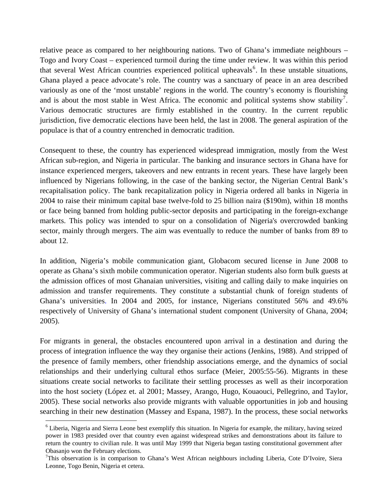relative peace as compared to her neighbouring nations. Two of Ghana's immediate neighbours – Togo and Ivory Coast – experienced turmoil during the time under review. It was within this period that several West African countries experienced political upheavals<sup>[6](#page-5-0)</sup>. In these unstable situations, Ghana played a peace advocate's role. The country was a sanctuary of peace in an area described variously as one of the 'most unstable' regions in the world. The country's economy is flourishing and is about the most stable in West Africa. The economic and political systems show stability<sup>[7](#page-5-1)</sup>. Various democratic structures are firmly established in the country. In the current republic jurisdiction, five democratic elections have been held, the last in 2008. The general aspiration of the populace is that of a country entrenched in democratic tradition.

Consequent to these, the country has experienced widespread immigration, mostly from the West African sub-region, and Nigeria in particular. The banking and insurance sectors in Ghana have for instance experienced mergers, takeovers and new entrants in recent years. These have largely been influenced by Nigerians following, in the case of the banking sector, the Nigerian Central Bank's recapitalisation policy. The bank recapitalization policy in Nigeria ordered all banks in Nigeria in 2004 to raise their minimum capital base twelve-fold to 25 billion naira (\$190m), within 18 months or face being banned from holding public-sector deposits and participating in the foreign-exchange markets. This policy was intended to spur on a consolidation of Nigeria's overcrowded banking sector, mainly through mergers. The aim was eventually to reduce the number of banks from 89 to about 12.

In addition, Nigeria's mobile communication giant, Globacom secured license in June 2008 to operate as Ghana's sixth mobile communication operator. Nigerian students also form bulk guests at the admission offices of most Ghanaian universities, visiting and calling daily to make inquiries on admission and transfer requirements. They constitute a substantial chunk of foreign students of Ghana's universities. In 2004 and 2005, for instance, Nigerians constituted 56% and 49.6% respectively of University of Ghana's international student component (University of Ghana, 2004; 2005).

For migrants in general, the obstacles encountered upon arrival in a destination and during the process of integration influence the way they organise their actions (Jenkins, 1988). And stripped of the presence of family members, other friendship associations emerge, and the dynamics of social relationships and their underlying cultural ethos surface (Meier, 2005:55-56). Migrants in these situations create social networks to facilitate their settling processes as well as their incorporation into the host society (López et. al 2001; Massey, Arango, Hugo, Kouaouci, Pellegrino, and Taylor, 2005). These social networks also provide migrants with valuable opportunities in job and housing searching in their new destination (Massey and Espana, 1987). In the process, these social networks

<span id="page-5-0"></span><sup>&</sup>lt;sup>6</sup> Liberia, Nigeria and Sierra Leone best exemplify this situation. In Nigeria for example, the military, having seized power in 1983 presided over that country even against widespread strikes and demonstrations about its failure to return the country to civilian rule. It was until May 1999 that Nigeria began tasting constitutional government after Obasanjo won the February elections.

<span id="page-5-1"></span><sup>&</sup>lt;sup>7</sup>This observation is in comparison to Ghana's West African neighbours including Liberia, Cote D'Ivoire, Siera Leonne, Togo Benin, Nigeria et cetera.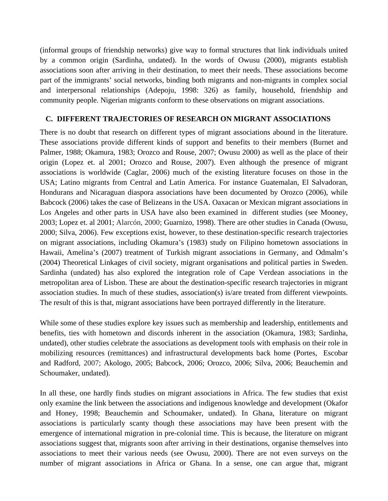(informal groups of friendship networks) give way to formal structures that link individuals united by a common origin (Sardinha, undated). In the words of Owusu (2000), migrants establish associations soon after arriving in their destination, to meet their needs. These associations become part of the immigrants' social networks, binding both migrants and non-migrants in complex social and interpersonal relationships (Adepoju, 1998: 326) as family, household, friendship and community people. Nigerian migrants conform to these observations on migrant associations.

## **C. DIFFERENT TRAJECTORIES OF RESEARCH ON MIGRANT ASSOCIATIONS**

There is no doubt that research on different types of migrant associations abound in the literature. These associations provide different kinds of support and benefits to their members (Burnet and Palmer, 1988; Okamura, 1983; Orozco and Rouse, 2007; Owusu 2000) as well as the place of their origin (Lopez et. al 2001; Orozco and Rouse, 2007). Even although the presence of migrant associations is worldwide (Caglar, 2006) much of the existing literature focuses on those in the USA; Latino migrants from Central and Latin America. For instance Guatemalan, El Salvadoran, Hondurans and Nicaraguan diaspora associations have been documented by Orozco (2006), while Babcock (2006) takes the case of Belizeans in the USA. Oaxacan or Mexican migrant associations in Los Angeles and other parts in USA have also been examined in different studies (see Mooney, 2003; Lopez et. al 2001; Alarcón, 2000; Guarnizo, 1998). There are other studies in Canada (Owusu, 2000; Silva, 2006). Few exceptions exist, however, to these destination-specific research trajectories on migrant associations, including Okamura's (1983) study on Filipino hometown associations in Hawaii, Amelina's (2007) treatment of Turkish migrant associations in Germany, and Odmalm's (2004) Theoretical Linkages of civil society, migrant organisations and political parties in Sweden. Sardinha (undated) has also explored the integration role of Cape Verdean associations in the metropolitan area of Lisbon. These are about the destination-specific research trajectories in migrant association studies. In much of these studies, association(s) is/are treated from different viewpoints. The result of this is that, migrant associations have been portrayed differently in the literature.

While some of these studies explore key issues such as membership and leadership, entitlements and benefits, ties with hometown and discords inherent in the association (Okamura, 1983; Sardinha, undated), other studies celebrate the associations as development tools with emphasis on their role in mobilizing resources (remittances) and infrastructural developments back home (Portes, Escobar and Radford, 2007; Akologo, 2005; Babcock, 2006; Orozco, 2006; Silva, 2006; Beauchemin and Schoumaker, undated).

In all these, one hardly finds studies on migrant associations in Africa. The few studies that exist only examine the link between the associations and indigenous knowledge and development (Okafor and Honey, 1998; Beauchemin and Schoumaker, undated). In Ghana, literature on migrant associations is particularly scanty though these associations may have been present with the emergence of international migration in pre-colonial time. This is because, the literature on migrant associations suggest that, migrants soon after arriving in their destinations, organise themselves into associations to meet their various needs (see Owusu, 2000). There are not even surveys on the number of migrant associations in Africa or Ghana. In a sense, one can argue that, migrant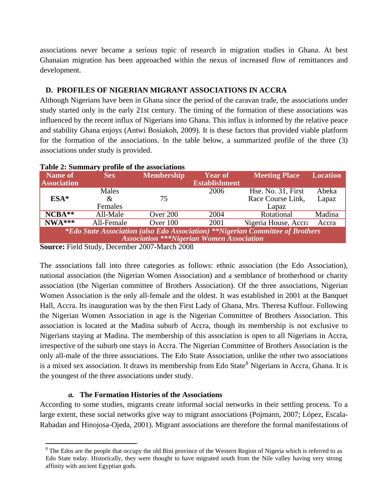associations never became a serious topic of research in migration studies in Ghana. At best Ghanaian migration has been approached within the nexus of increased flow of remittances and development.

## **D. PROFILES OF NIGERIAN MIGRANT ASSOCIATIONS IN ACCRA**

Although Nigerians have been in Ghana since the period of the caravan trade, the associations under study started only in the early 21st century. The timing of the formation of these associations was influenced by the recent influx of Nigerians into Ghana. This influx is informed by the relative peace and stability Ghana enjoys (Antwi Bosiakoh, 2009). It is these factors that provided viable platform for the formation of the associations. In the table below, a summarized profile of the three (3) associations under study is provided.

| <b>Table 2: Summary profile of the associations</b>                                   |            |                                                  |                      |                             |                 |  |  |  |
|---------------------------------------------------------------------------------------|------------|--------------------------------------------------|----------------------|-----------------------------|-----------------|--|--|--|
| Name of                                                                               | <b>Sex</b> | <b>Membership</b>                                | <b>Year of</b>       | <b>Meeting Place</b>        | <b>Location</b> |  |  |  |
| <b>Association</b>                                                                    |            |                                                  | <b>Establishment</b> |                             |                 |  |  |  |
|                                                                                       | Males      |                                                  | 2006                 | Hse. No. 31, First          | Abeka           |  |  |  |
| $ESA*$                                                                                | &          | 75                                               |                      | Race Course Link,           | Lapaz           |  |  |  |
|                                                                                       | Females    |                                                  |                      | Lapaz                       |                 |  |  |  |
| $NCBA**$                                                                              | All-Male   | Over 200                                         | 2004                 | Rotational                  | Madina          |  |  |  |
| $NWA***$                                                                              | All-Female | Over $100$                                       | 2001                 | <b>Nigeria House, Accra</b> | Accra           |  |  |  |
| <i>*Edo State Association (also Edo Association)</i> **Nigerian Committee of Brothers |            |                                                  |                      |                             |                 |  |  |  |
| <b>Association ***Nigerian Women Association</b>                                      |            |                                                  |                      |                             |                 |  |  |  |
| $\sim$<br>-----                                                                       |            | $\sim$ $\sim$ $\sim$ $\sim$ $\sim$ $\sim$ $\sim$ |                      |                             |                 |  |  |  |

# **Table 2: Summary profile of the associations**

**Source:** Field Study, December 2007-March 2008

The associations fall into three categories as follows: ethnic association (the Edo Association), national association (the Nigerian Women Association) and a semblance of brotherhood or charity association (the Nigerian committee of Brothers Association). Of the three associations, Nigerian Women Association is the only all-female and the oldest. It was established in 2001 at the Banquet Hall, Accra. Its inauguration was by the then First Lady of Ghana, Mrs. Theresa Kuffour. Following the Nigerian Women Association in age is the Nigerian Committee of Brothers Association. This association is located at the Madina suburb of Accra, though its membership is not exclusive to Nigerians staying at Madina. The membership of this association is open to all Nigerians in Accra, irrespective of the suburb one stays in Accra. The Nigerian Committee of Brothers Association is the only all-male of the three associations. The Edo State Association, unlike the other two associations is a mixed sex association. It draws its membership from Edo State<sup>[8](#page-7-0)</sup> Nigerians in Accra, Ghana. It is the youngest of the three associations under study.

### *a.* **The Formation Histories of the Associations**

According to some studies, migrants create informal social networks in their settling process. To a large extent, these social networks give way to migrant associations (Pojmann, 2007; López, Escala-Rabadan and Hinojosa-Ojeda, 2001). Migrant associations are therefore the formal manifestations of

<span id="page-7-0"></span> $8$  The Edos are the people that occupy the old Bini province of the Western Region of Nigeria which is referred to as Edo State today. Historically, they were thought to have migrated south from the Nile valley having very strong affinity with ancient Egyptian gods.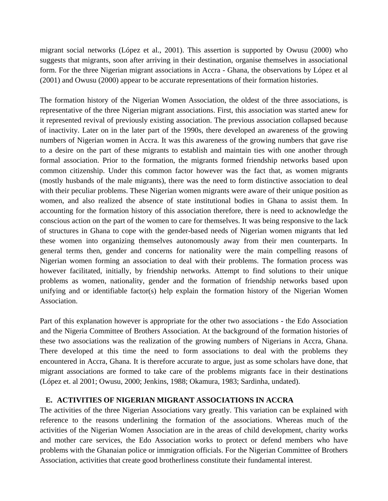migrant social networks (López et al., 2001). This assertion is supported by Owusu (2000) who suggests that migrants, soon after arriving in their destination, organise themselves in associational form. For the three Nigerian migrant associations in Accra - Ghana, the observations by López et al (2001) and Owusu (2000) appear to be accurate representations of their formation histories.

The formation history of the Nigerian Women Association, the oldest of the three associations, is representative of the three Nigerian migrant associations. First, this association was started anew for it represented revival of previously existing association. The previous association collapsed because of inactivity. Later on in the later part of the 1990s, there developed an awareness of the growing numbers of Nigerian women in Accra. It was this awareness of the growing numbers that gave rise to a desire on the part of these migrants to establish and maintain ties with one another through formal association. Prior to the formation, the migrants formed friendship networks based upon common citizenship. Under this common factor however was the fact that, as women migrants (mostly husbands of the male migrants), there was the need to form distinctive association to deal with their peculiar problems. These Nigerian women migrants were aware of their unique position as women, and also realized the absence of state institutional bodies in Ghana to assist them. In accounting for the formation history of this association therefore, there is need to acknowledge the conscious action on the part of the women to care for themselves. It was being responsive to the lack of structures in Ghana to cope with the gender-based needs of Nigerian women migrants that led these women into organizing themselves autonomously away from their men counterparts. In general terms then, gender and concerns for nationality were the main compelling reasons of Nigerian women forming an association to deal with their problems. The formation process was however facilitated, initially, by friendship networks. Attempt to find solutions to their unique problems as women, nationality, gender and the formation of friendship networks based upon unifying and or identifiable factor(s) help explain the formation history of the Nigerian Women Association.

Part of this explanation however is appropriate for the other two associations - the Edo Association and the Nigeria Committee of Brothers Association. At the background of the formation histories of these two associations was the realization of the growing numbers of Nigerians in Accra, Ghana. There developed at this time the need to form associations to deal with the problems they encountered in Accra, Ghana. It is therefore accurate to argue, just as some scholars have done, that migrant associations are formed to take care of the problems migrants face in their destinations (López et. al 2001; Owusu, 2000; Jenkins, 1988; Okamura, 1983; Sardinha, undated).

### **E. ACTIVITIES OF NIGERIAN MIGRANT ASSOCIATIONS IN ACCRA**

The activities of the three Nigerian Associations vary greatly. This variation can be explained with reference to the reasons underlining the formation of the associations. Whereas much of the activities of the Nigerian Women Association are in the areas of child development, charity works and mother care services, the Edo Association works to protect or defend members who have problems with the Ghanaian police or immigration officials. For the Nigerian Committee of Brothers Association, activities that create good brotherliness constitute their fundamental interest.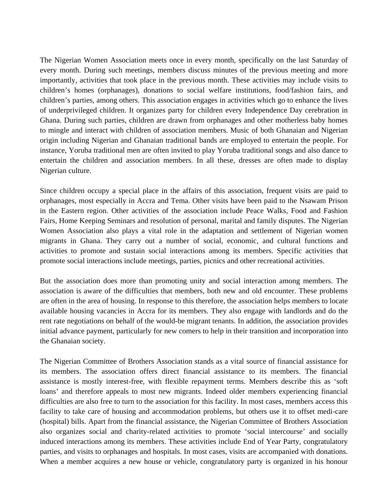The Nigerian Women Association meets once in every month, specifically on the last Saturday of every month. During such meetings, members discuss minutes of the previous meeting and more importantly, activities that took place in the previous month. These activities may include visits to children's homes (orphanages), donations to social welfare institutions, food/fashion fairs, and children's parties, among others. This association engages in activities which go to enhance the lives of underprivileged children. It organizes party for children every Independence Day cerebration in Ghana. During such parties, children are drawn from orphanages and other motherless baby homes to mingle and interact with children of association members. Music of both Ghanaian and Nigerian origin including Nigerian and Ghanaian traditional bands are employed to entertain the people. For instance, Yoruba traditional men are often invited to play Yoruba traditional songs and also dance to entertain the children and association members. In all these, dresses are often made to display Nigerian culture.

Since children occupy a special place in the affairs of this association, frequent visits are paid to orphanages, most especially in Accra and Tema. Other visits have been paid to the Nsawam Prison in the Eastern region. Other activities of the association include Peace Walks, Food and Fashion Fairs, Home Keeping Seminars and resolution of personal, marital and family disputes. The Nigerian Women Association also plays a vital role in the adaptation and settlement of Nigerian women migrants in Ghana. They carry out a number of social, economic, and cultural functions and activities to promote and sustain social interactions among its members. Specific activities that promote social interactions include meetings, parties, picnics and other recreational activities.

But the association does more than promoting unity and social interaction among members. The association is aware of the difficulties that members, both new and old encounter. These problems are often in the area of housing. In response to this therefore, the association helps members to locate available housing vacancies in Accra for its members. They also engage with landlords and do the rent rate negotiations on behalf of the would-be migrant tenants. In addition, the association provides initial advance payment, particularly for new comers to help in their transition and incorporation into the Ghanaian society.

The Nigerian Committee of Brothers Association stands as a vital source of financial assistance for its members. The association offers direct financial assistance to its members. The financial assistance is mostly interest-free, with flexible repayment terms. Members describe this as 'soft loans' and therefore appeals to most new migrants. Indeed older members experiencing financial difficulties are also free to turn to the association for this facility. In most cases, members access this facility to take care of housing and accommodation problems, but others use it to offset medi-care (hospital) bills. Apart from the financial assistance, the Nigerian Committee of Brothers Association also organizes social and charity-related activities to promote 'social intercourse' and socially induced interactions among its members. These activities include End of Year Party, congratulatory parties, and visits to orphanages and hospitals. In most cases, visits are accompanied with donations. When a member acquires a new house or vehicle, congratulatory party is organized in his honour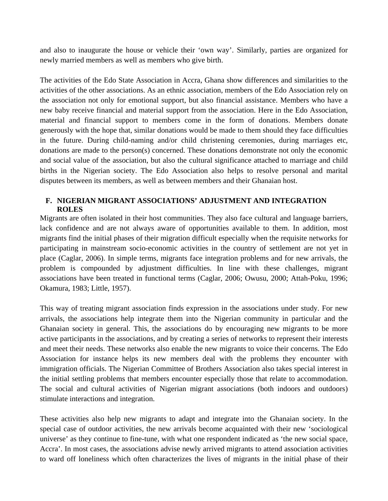and also to inaugurate the house or vehicle their 'own way'. Similarly, parties are organized for newly married members as well as members who give birth.

The activities of the Edo State Association in Accra, Ghana show differences and similarities to the activities of the other associations. As an ethnic association, members of the Edo Association rely on the association not only for emotional support, but also financial assistance. Members who have a new baby receive financial and material support from the association. Here in the Edo Association, material and financial support to members come in the form of donations. Members donate generously with the hope that, similar donations would be made to them should they face difficulties in the future. During child-naming and/or child christening ceremonies, during marriages etc, donations are made to the person(s) concerned. These donations demonstrate not only the economic and social value of the association, but also the cultural significance attached to marriage and child births in the Nigerian society. The Edo Association also helps to resolve personal and marital disputes between its members, as well as between members and their Ghanaian host.

## **F. NIGERIAN MIGRANT ASSOCIATIONS' ADJUSTMENT AND INTEGRATION ROLES**

Migrants are often isolated in their host communities. They also face cultural and language barriers, lack confidence and are not always aware of opportunities available to them. In addition, most migrants find the initial phases of their migration difficult especially when the requisite networks for participating in mainstream socio-economic activities in the country of settlement are not yet in place (Caglar, 2006). In simple terms, migrants face integration problems and for new arrivals, the problem is compounded by adjustment difficulties. In line with these challenges, migrant associations have been treated in functional terms (Caglar, 2006; Owusu, 2000; Attah-Poku, 1996; Okamura, 1983; Little, 1957).

This way of treating migrant association finds expression in the associations under study. For new arrivals, the associations help integrate them into the Nigerian community in particular and the Ghanaian society in general. This, the associations do by encouraging new migrants to be more active participants in the associations, and by creating a series of networks to represent their interests and meet their needs. These networks also enable the new migrants to voice their concerns. The Edo Association for instance helps its new members deal with the problems they encounter with immigration officials. The Nigerian Committee of Brothers Association also takes special interest in the initial settling problems that members encounter especially those that relate to accommodation. The social and cultural activities of Nigerian migrant associations (both indoors and outdoors) stimulate interactions and integration.

These activities also help new migrants to adapt and integrate into the Ghanaian society. In the special case of outdoor activities, the new arrivals become acquainted with their new 'sociological universe' as they continue to fine-tune, with what one respondent indicated as 'the new social space, Accra'. In most cases, the associations advise newly arrived migrants to attend association activities to ward off loneliness which often characterizes the lives of migrants in the initial phase of their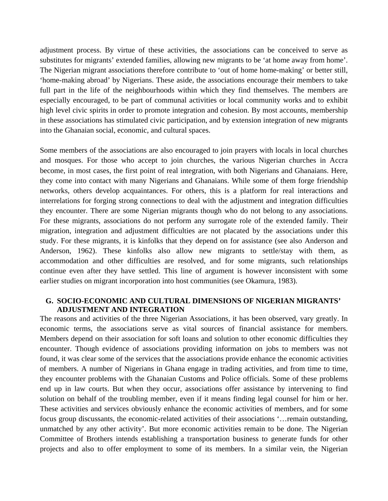adjustment process. By virtue of these activities, the associations can be conceived to serve as substitutes for migrants' extended families, allowing new migrants to be 'at home away from home'. The Nigerian migrant associations therefore contribute to 'out of home home-making' or better still, 'home-making abroad' by Nigerians. These aside, the associations encourage their members to take full part in the life of the neighbourhoods within which they find themselves. The members are especially encouraged, to be part of communal activities or local community works and to exhibit high level civic spirits in order to promote integration and cohesion. By most accounts, membership in these associations has stimulated civic participation, and by extension integration of new migrants into the Ghanaian social, economic, and cultural spaces.

Some members of the associations are also encouraged to join prayers with locals in local churches and mosques. For those who accept to join churches, the various Nigerian churches in Accra become, in most cases, the first point of real integration, with both Nigerians and Ghanaians. Here, they come into contact with many Nigerians and Ghanaians. While some of them forge friendship networks, others develop acquaintances. For others, this is a platform for real interactions and interrelations for forging strong connections to deal with the adjustment and integration difficulties they encounter. There are some Nigerian migrants though who do not belong to any associations. For these migrants, associations do not perform any surrogate role of the extended family. Their migration, integration and adjustment difficulties are not placated by the associations under this study. For these migrants, it is kinfolks that they depend on for assistance (see also Anderson and Anderson, 1962). These kinfolks also allow new migrants to settle/stay with them, as accommodation and other difficulties are resolved, and for some migrants, such relationships continue even after they have settled. This line of argument is however inconsistent with some earlier studies on migrant incorporation into host communities (see Okamura, 1983).

### **G. SOCIO-ECONOMIC AND CULTURAL DIMENSIONS OF NIGERIAN MIGRANTS' ADJUSTMENT AND INTEGRATION**

The reasons and activities of the three Nigerian Associations, it has been observed, vary greatly. In economic terms, the associations serve as vital sources of financial assistance for members. Members depend on their association for soft loans and solution to other economic difficulties they encounter. Though evidence of associations providing information on jobs to members was not found, it was clear some of the services that the associations provide enhance the economic activities of members. A number of Nigerians in Ghana engage in trading activities, and from time to time, they encounter problems with the Ghanaian Customs and Police officials. Some of these problems end up in law courts. But when they occur, associations offer assistance by intervening to find solution on behalf of the troubling member, even if it means finding legal counsel for him or her. These activities and services obviously enhance the economic activities of members, and for some focus group discussants, the economic-related activities of their associations '…remain outstanding, unmatched by any other activity'. But more economic activities remain to be done. The Nigerian Committee of Brothers intends establishing a transportation business to generate funds for other projects and also to offer employment to some of its members. In a similar vein, the Nigerian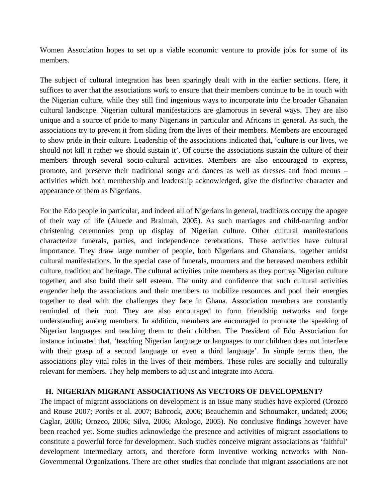Women Association hopes to set up a viable economic venture to provide jobs for some of its members.

The subject of cultural integration has been sparingly dealt with in the earlier sections. Here, it suffices to aver that the associations work to ensure that their members continue to be in touch with the Nigerian culture, while they still find ingenious ways to incorporate into the broader Ghanaian cultural landscape. Nigerian cultural manifestations are glamorous in several ways. They are also unique and a source of pride to many Nigerians in particular and Africans in general. As such, the associations try to prevent it from sliding from the lives of their members. Members are encouraged to show pride in their culture. Leadership of the associations indicated that, 'culture is our lives, we should not kill it rather we should sustain it'. Of course the associations sustain the culture of their members through several socio-cultural activities. Members are also encouraged to express, promote, and preserve their traditional songs and dances as well as dresses and food menus – activities which both membership and leadership acknowledged, give the distinctive character and appearance of them as Nigerians.

For the Edo people in particular, and indeed all of Nigerians in general, traditions occupy the apogee of their way of life (Aluede and Braimah, 2005). As such marriages and child-naming and/or christening ceremonies prop up display of Nigerian culture. Other cultural manifestations characterize funerals, parties, and independence cerebrations. These activities have cultural importance. They draw large number of people, both Nigerians and Ghanaians, together amidst cultural manifestations. In the special case of funerals, mourners and the bereaved members exhibit culture, tradition and heritage. The cultural activities unite members as they portray Nigerian culture together, and also build their self esteem. The unity and confidence that such cultural activities engender help the associations and their members to mobilize resources and pool their energies together to deal with the challenges they face in Ghana. Association members are constantly reminded of their root. They are also encouraged to form friendship networks and forge understanding among members. In addition, members are encouraged to promote the speaking of Nigerian languages and teaching them to their children. The President of Edo Association for instance intimated that, 'teaching Nigerian language or languages to our children does not interfere with their grasp of a second language or even a third language'. In simple terms then, the associations play vital roles in the lives of their members. These roles are socially and culturally relevant for members. They help members to adjust and integrate into Accra.

### **H. NIGERIAN MIGRANT ASSOCIATIONS AS VECTORS OF DEVELOPMENT?**

The impact of migrant associations on development is an issue many studies have explored (Orozco and Rouse 2007; Portès et al. 2007; Babcock, 2006; Beauchemin and Schoumaker, undated; 2006; Caglar, 2006; Orozco, 2006; Silva, 2006; Akologo, 2005). No conclusive findings however have been reached yet. Some studies acknowledge the presence and activities of migrant associations to constitute a powerful force for development. Such studies conceive migrant associations as 'faithful' development intermediary actors, and therefore form inventive working networks with Non-Governmental Organizations. There are other studies that conclude that migrant associations are not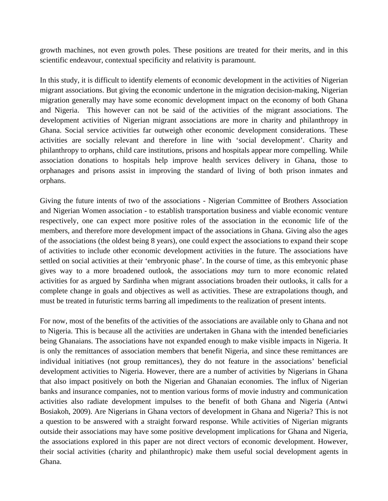growth machines, not even growth poles. These positions are treated for their merits, and in this scientific endeavour, contextual specificity and relativity is paramount.

In this study, it is difficult to identify elements of economic development in the activities of Nigerian migrant associations. But giving the economic undertone in the migration decision-making, Nigerian migration generally may have some economic development impact on the economy of both Ghana and Nigeria. This however can not be said of the activities of the migrant associations. The development activities of Nigerian migrant associations are more in charity and philanthropy in Ghana. Social service activities far outweigh other economic development considerations. These activities are socially relevant and therefore in line with 'social development'. Charity and philanthropy to orphans, child care institutions, prisons and hospitals appear more compelling. While association donations to hospitals help improve health services delivery in Ghana, those to orphanages and prisons assist in improving the standard of living of both prison inmates and orphans.

Giving the future intents of two of the associations - Nigerian Committee of Brothers Association and Nigerian Women association - to establish transportation business and viable economic venture respectively, one can expect more positive roles of the association in the economic life of the members, and therefore more development impact of the associations in Ghana. Giving also the ages of the associations (the oldest being 8 years), one could expect the associations to expand their scope of activities to include other economic development activities in the future. The associations have settled on social activities at their 'embryonic phase'. In the course of time, as this embryonic phase gives way to a more broadened outlook, the associations *may* turn to more economic related activities for as argued by Sardinha when migrant associations broaden their outlooks, it calls for a complete change in goals and objectives as well as activities. These are extrapolations though, and must be treated in futuristic terms barring all impediments to the realization of present intents.

For now, most of the benefits of the activities of the associations are available only to Ghana and not to Nigeria. This is because all the activities are undertaken in Ghana with the intended beneficiaries being Ghanaians. The associations have not expanded enough to make visible impacts in Nigeria. It is only the remittances of association members that benefit Nigeria, and since these remittances are individual initiatives (not group remittances), they do not feature in the associations' beneficial development activities to Nigeria. However, there are a number of activities by Nigerians in Ghana that also impact positively on both the Nigerian and Ghanaian economies. The influx of Nigerian banks and insurance companies, not to mention various forms of movie industry and communication activities also radiate development impulses to the benefit of both Ghana and Nigeria (Antwi Bosiakoh, 2009). Are Nigerians in Ghana vectors of development in Ghana and Nigeria? This is not a question to be answered with a straight forward response. While activities of Nigerian migrants outside their associations may have some positive development implications for Ghana and Nigeria, the associations explored in this paper are not direct vectors of economic development. However, their social activities (charity and philanthropic) make them useful social development agents in Ghana.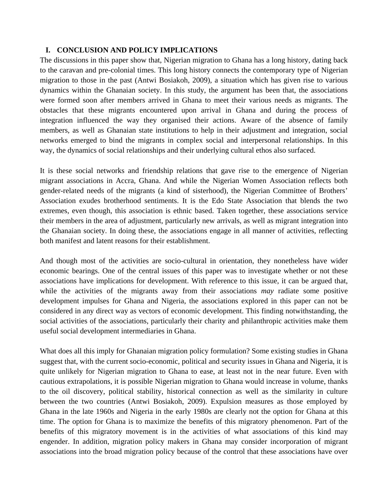## **I. CONCLUSION AND POLICY IMPLICATIONS**

The discussions in this paper show that, Nigerian migration to Ghana has a long history, dating back to the caravan and pre-colonial times. This long history connects the contemporary type of Nigerian migration to those in the past (Antwi Bosiakoh, 2009), a situation which has given rise to various dynamics within the Ghanaian society. In this study, the argument has been that, the associations were formed soon after members arrived in Ghana to meet their various needs as migrants. The obstacles that these migrants encountered upon arrival in Ghana and during the process of integration influenced the way they organised their actions. Aware of the absence of family members, as well as Ghanaian state institutions to help in their adjustment and integration, social networks emerged to bind the migrants in complex social and interpersonal relationships. In this way, the dynamics of social relationships and their underlying cultural ethos also surfaced.

It is these social networks and friendship relations that gave rise to the emergence of Nigerian migrant associations in Accra, Ghana. And while the Nigerian Women Association reflects both gender-related needs of the migrants (a kind of sisterhood), the Nigerian Committee of Brothers' Association exudes brotherhood sentiments. It is the Edo State Association that blends the two extremes, even though, this association is ethnic based. Taken together, these associations service their members in the area of adjustment, particularly new arrivals, as well as migrant integration into the Ghanaian society. In doing these, the associations engage in all manner of activities, reflecting both manifest and latent reasons for their establishment.

And though most of the activities are socio-cultural in orientation, they nonetheless have wider economic bearings. One of the central issues of this paper was to investigate whether or not these associations have implications for development. With reference to this issue, it can be argued that, while the activities of the migrants away from their associations *may* radiate some positive development impulses for Ghana and Nigeria, the associations explored in this paper can not be considered in any direct way as vectors of economic development. This finding notwithstanding, the social activities of the associations, particularly their charity and philanthropic activities make them useful social development intermediaries in Ghana.

What does all this imply for Ghanaian migration policy formulation? Some existing studies in Ghana suggest that, with the current socio-economic, political and security issues in Ghana and Nigeria, it is quite unlikely for Nigerian migration to Ghana to ease, at least not in the near future. Even with cautious extrapolations, it is possible Nigerian migration to Ghana would increase in volume, thanks to the oil discovery, political stability, historical connection as well as the similarity in culture between the two countries (Antwi Bosiakoh, 2009). Expulsion measures as those employed by Ghana in the late 1960s and Nigeria in the early 1980s are clearly not the option for Ghana at this time. The option for Ghana is to maximize the benefits of this migratory phenomenon. Part of the benefits of this migratory movement is in the activities of what associations of this kind may engender. In addition, migration policy makers in Ghana may consider incorporation of migrant associations into the broad migration policy because of the control that these associations have over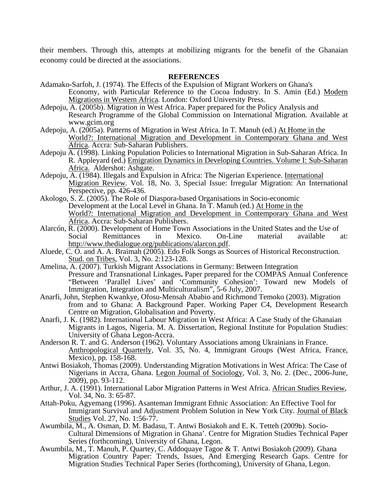their members. Through this, attempts at mobilizing migrants for the benefit of the Ghanaian economy could be directed at the associations.

#### **REFERENCES**

- Adamako-Sarfoh, J. (1974). The Effects of the Expulsion of Migrant Workers on Ghana's Economy, with Particular Reference to the Cocoa Industry. In S. Amin (Ed.) Modern Migrations in Western Africa*.* London: Oxford University Press.
- Adepoju, A. (2005b). Migration in West Africa. Paper prepared for the Policy Analysis and Research Programme of the Global Commission on International Migration. Available at www.gcim.org
- Adepoju, A. (2005a). Patterns of Migration in West Africa*.* In T. Manuh (ed.) At Home in the World?: International Migration and Development in Contemporary Ghana and West Africa. Accra: Sub-Saharan Publishers.
- Adepoju A. (1998). Linking Population Policies to International Migration in Sub-Saharan Africa. In R. Appleyard (ed.) Emigration Dynamics in Developing Countries. Volume I: Sub-Saharan Africa. Aldershot: Ashgate.
- Adepoju, A. (1984). Illegals and Expulsion in Africa: The Nigerian Experience. International Migration Review*.* Vol. 18, No. 3, Special Issue: Irregular Migration: An International Perspective, pp. 426-436.
- Akologo, S. Z. (2005). The Role of Diaspora-based Organisations in Socio-economic Development at the Local Level in Ghana. In T. Manuh (ed.) At Home in the World?: International Migration and Development in Contemporary Ghana and West Africa. Accra: Sub-Saharan Publishers.
- Alarcón, R. (2000). Development of Home Town Associations in the United States and the Use of<br>Social Remittances in Mexico. On-Line material available Remittances in Mexico. On-Line material available at: <http://www.thedialogue.org/publications/alarcon.pdf>.
- Aluede, C. O. and A. A. Braimah (2005). Edo Folk Songs as Sources of Historical Reconstruction*.* Stud. on Tribes, Vol. 3, No. 2:123-128.
- Amelina, A. (2007). Turkish Migrant Associations in Germany: Between Integration Pressure and Transnational Linkages**.** Paper prepared for the COMPAS Annual Conference "Between 'Parallel Lives' and 'Community Cohesion': Toward new Models of Immigration, Integration and Multiculturalism", 5-6 July, 2007.
- Anarfi, John, Stephen Kwankye, Ofosu-Mensah Ababio and Richmond Temoko (2003). Migration from and to Ghana: A Background Paper. Working Paper C4, Development Research Centre on Migration, Globalisation and Poverty.
- Anarfi, J. K. (1982). International Labour Migration in West Africa: A Case Study of the Ghanaian Migrants in Lagos, Nigeria. M. A. Dissertation, Regional Institute for Population Studies: University of Ghana Legon-Accra.
- Anderson R. T. and G. Anderson (1962). Voluntary Associations among Ukrainians in France. Anthropological Quarterly, Vol. 35, No. 4, Immigrant Groups (West Africa, France, Mexico), pp. 158-168.
- Antwi Bosiakoh, Thomas (2009). Understanding Migration Motivations in West Africa: The Case of Nigerians in Accra, Ghana. Legon Journal of Sociology*,* Vol. 3, No. 2. (Dec., 2006-June, 2009), pp. 93-112.
- Arthur, J. A. (1991). International Labor Migration Patterns in West Africa. African Studies Review, Vol. 34, No. 3: 65-87.
- Attah-Poku, Agyemang (1996). Asanteman Immigrant Ethnic Association: An Effective Tool for Immigrant Survival and Adjustment Problem Solution in New York City. Journal of Black Studies Vol. 27, No. 1:56-77.
- Awumbila, M., A. Osman, D. M. Badasu, T. Antwi Bosiakoh and E. K. Tetteh (2009b). Socio-Cultural Dimensions of Migration in Ghana'. Centre for Migration Studies Technical Paper Series (forthcoming), University of Ghana, Legon.
- Awumbila, M., T. Manuh, P. Quartey, C. Addoquaye Tagoe & T. Antwi Bosiakoh (2009). Ghana Migration Country Paper: Trends, Issues, And Emerging Research Gaps. Centre for Migration Studies Technical Paper Series (forthcoming), University of Ghana, Legon.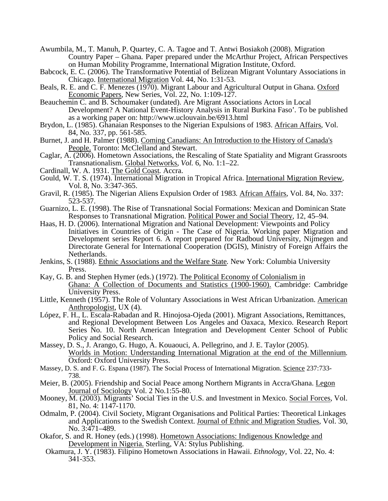- Awumbila, M., T. Manuh, P. Quartey, C. A. Tagoe and T. Antwi Bosiakoh (2008). Migration Country Paper – Ghana*.* Paper prepared under the McArthur Project, African Perspectives on Human Mobility Programme, International Migration Institute, Oxford.
- Babcock, E. C. (2006). The Transformative Potential of Belizean Migrant Voluntary Associations in Chicago. International Migration Vol. 44, No. 1:31-53.
- Beals, R. E. and C. F. Menezes (1970). Migrant Labour and Agricultural Output in Ghana. Oxford Economic Papers*,* New Series, Vol. 22, No. 1:109-127.
- Beauchemin C. and B. Schoumaker (undated). Are Migrant Associations Actors in Local Development? A National Event-History Analysis in Rural Burkina Faso'*.* To be published as a working paper on: http://www.uclouvain.be/6913.html
- Brydon, L. (1985). Ghanaian Responses to the Nigerian Expulsions of 1983. African Affairs*,* Vol. 84, No. 337, pp. 561-585.
- Burnet, J. and H. Palmer (1988). Coming Canadians: An Introduction to the History of Canada's People. Toronto: McClelland and Stewart.
- Caglar, A. (2006). Hometown Associations, the Rescaling of State Spatiality and Migrant Grassroots Transnationalism. Global Networks*, Vol.* 6, No. 1:1–22.
- Cardinall, W. A. 1931. The Gold Coast*.* Accra.
- Gould, W. T. S. (1974). International Migration in Tropical Africa. International Migration Review*,* Vol. 8, No. 3:347-365.
- Gravil, R. (1985). The Nigerian Aliens Expulsion Order of 1983*.* African Affairs*,* Vol. 84, No. 337: 523-537.
- Guarnizo, L. E. (1998). The Rise of Transnational Social Formations: Mexican and Dominican State Responses to Transnational Migration. Political Power and Social Theory*,* 12, 45–94.
- Haas, H. D. (2006). International Migration and National Development: Viewpoints and Policy Initiatives in Countries of Origin - The Case of Nigeria. Working paper Migration and Development series Report 6. A report prepared for Radboud University, Nijmegen and Directorate General for International Cooperation (DGIS), Ministry of Foreign Affairs the Netherlands.
- Jenkins, S. (1988). Ethnic Associations and the Welfare State*.* New York: Columbia University Press.
- Kay, G. B. and Stephen Hymer (eds.) (1972). The Political Economy of Colonialism in Ghana: A Collection of Documents and Statistics (1900-1960). Cambridge: Cambridge University Press.
- Little, Kenneth (1957). The Role of Voluntary Associations in West African Urbanization. American Anthropologist, UX (4).
- López, F. H., L. Escala-Rabadan and R. Hinojosa-Ojeda (2001). Migrant Associations, Remittances, and Regional Development Between Los Angeles and Oaxaca, Mexico. Research Report Series No. 10. North American Integration and Development Center School of Public Policy and Social Research.
- Massey, D. S., J. Arango, G. Hugo, A. Kouaouci, A. Pellegrino, and J. E. Taylor (2005). Worlds in Motion: Understanding International Migration at the end of the Millennium*.*  Oxford: Oxford University Press.
- Massey, D. S. and F. G. Espana (1987). The Social Process of International Migration. Science 237:733-738.
- Meier, B. (2005). Friendship and Social Peace among Northern Migrants in Accra/Ghana. Legon Journal of Sociology Vol. 2 No.1:55-80.
- Mooney, M. (2003). Migrants' Social Ties in the U.S. and Investment in Mexico. Social Forces*,* Vol. 81, No. 4: 1147-1170.
- Odmalm, P. (2004). Civil Society, Migrant Organisations and Political Parties: Theoretical Linkages and Applications to the Swedish Context. Journal of Ethnic and Migration Studies*,* Vol. 30, No. 3:471–489.
- Okafor, S. and R. Honey (eds.) (1998). Hometown Associations: Indigenous Knowledge and Development in Nigeria. Sterling, VA: Stylus Publishing.
	- Okamura, J. Y. (1983). Filipino Hometown Associations in Hawaii. *Ethnology,* Vol. 22, No. 4: 341-353.